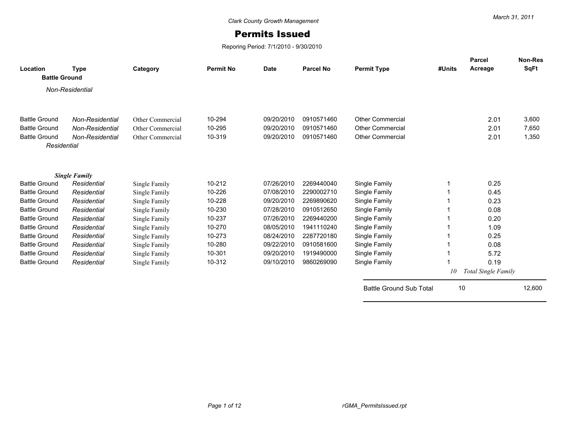## Permits Issued

Reporing Period: 7/1/2010 - 9/30/2010

| Location<br><b>Battle Ground</b> | <b>Type</b>          | Category         | <b>Permit No</b> | <b>Date</b> | <b>Parcel No</b> | <b>Permit Type</b>             | #Units | <b>Parcel</b><br>Acreage | Non-Res<br>SqFt |
|----------------------------------|----------------------|------------------|------------------|-------------|------------------|--------------------------------|--------|--------------------------|-----------------|
|                                  | Non-Residential      |                  |                  |             |                  |                                |        |                          |                 |
|                                  |                      |                  |                  |             |                  |                                |        |                          |                 |
| <b>Battle Ground</b>             | Non-Residential      | Other Commercial | 10-294           | 09/20/2010  | 0910571460       | <b>Other Commercial</b>        |        | 2.01                     | 3,600           |
| <b>Battle Ground</b>             | Non-Residential      | Other Commercial | 10-295           | 09/20/2010  | 0910571460       | <b>Other Commercial</b>        |        | 2.01                     | 7,650           |
| <b>Battle Ground</b>             | Non-Residential      | Other Commercial | 10-319           | 09/20/2010  | 0910571460       | <b>Other Commercial</b>        |        | 2.01                     | 1,350           |
| Residential                      |                      |                  |                  |             |                  |                                |        |                          |                 |
|                                  |                      |                  |                  |             |                  |                                |        |                          |                 |
|                                  | <b>Single Family</b> |                  |                  |             |                  |                                |        |                          |                 |
| <b>Battle Ground</b>             | Residential          | Single Family    | 10-212           | 07/26/2010  | 2269440040       | Single Family                  |        | 0.25                     |                 |
| <b>Battle Ground</b>             | Residential          | Single Family    | 10-226           | 07/08/2010  | 2290002710       | Single Family                  |        | 0.45                     |                 |
| <b>Battle Ground</b>             | Residential          | Single Family    | 10-228           | 09/20/2010  | 2269890620       | Single Family                  |        | 0.23                     |                 |
| <b>Battle Ground</b>             | Residential          | Single Family    | 10-230           | 07/28/2010  | 0910512650       | Single Family                  |        | 0.08                     |                 |
| <b>Battle Ground</b>             | Residential          | Single Family    | 10-237           | 07/26/2010  | 2269440200       | Single Family                  |        | 0.20                     |                 |
| <b>Battle Ground</b>             | Residential          | Single Family    | 10-270           | 08/05/2010  | 1941110240       | Single Family                  |        | 1.09                     |                 |
| <b>Battle Ground</b>             | Residential          | Single Family    | 10-273           | 08/24/2010  | 2287720180       | Single Family                  |        | 0.25                     |                 |
| <b>Battle Ground</b>             | Residential          | Single Family    | 10-280           | 09/22/2010  | 0910581600       | Single Family                  |        | 0.08                     |                 |
| <b>Battle Ground</b>             | Residential          | Single Family    | 10-301           | 09/20/2010  | 1919490000       | Single Family                  |        | 5.72                     |                 |
| <b>Battle Ground</b>             | Residential          | Single Family    | 10-312           | 09/10/2010  | 9860269090       | Single Family                  |        | 0.19                     |                 |
|                                  |                      |                  |                  |             |                  |                                | 10     | Total Single Family      |                 |
|                                  |                      |                  |                  |             |                  | <b>Battle Ground Sub Total</b> |        | 10                       | 12,600          |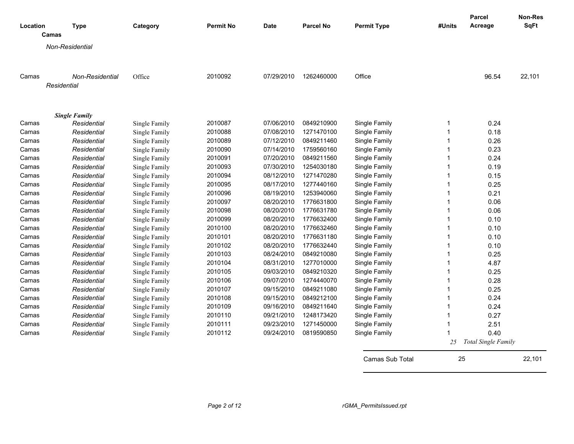| Location | <b>Type</b><br>Camas           | Category      | <b>Permit No</b> | <b>Date</b> | <b>Parcel No</b> | <b>Permit Type</b> | #Units | Parcel<br>Acreage   | Non-Res<br><b>SqFt</b> |
|----------|--------------------------------|---------------|------------------|-------------|------------------|--------------------|--------|---------------------|------------------------|
|          | Non-Residential                |               |                  |             |                  |                    |        |                     |                        |
|          |                                |               |                  |             |                  |                    |        |                     |                        |
| Camas    | Non-Residential<br>Residential | Office        | 2010092          | 07/29/2010  | 1262460000       | Office             |        | 96.54               | 22,101                 |
|          | <b>Single Family</b>           |               |                  |             |                  |                    |        |                     |                        |
| Camas    | Residential                    | Single Family | 2010087          | 07/06/2010  | 0849210900       | Single Family      |        | 0.24                |                        |
| Camas    | Residential                    | Single Family | 2010088          | 07/08/2010  | 1271470100       | Single Family      |        | 0.18                |                        |
| Camas    | Residential                    | Single Family | 2010089          | 07/12/2010  | 0849211460       | Single Family      |        | 0.26                |                        |
| Camas    | Residential                    | Single Family | 2010090          | 07/14/2010  | 1759560160       | Single Family      |        | 0.23                |                        |
| Camas    | Residential                    | Single Family | 2010091          | 07/20/2010  | 0849211560       | Single Family      |        | 0.24                |                        |
| Camas    | Residential                    | Single Family | 2010093          | 07/30/2010  | 1254030180       | Single Family      |        | 0.19                |                        |
| Camas    | Residential                    | Single Family | 2010094          | 08/12/2010  | 1271470280       | Single Family      |        | 0.15                |                        |
| Camas    | Residential                    | Single Family | 2010095          | 08/17/2010  | 1277440160       | Single Family      |        | 0.25                |                        |
| Camas    | Residential                    | Single Family | 2010096          | 08/19/2010  | 1253940060       | Single Family      |        | 0.21                |                        |
| Camas    | Residential                    | Single Family | 2010097          | 08/20/2010  | 1776631800       | Single Family      |        | 0.06                |                        |
| Camas    | Residential                    | Single Family | 2010098          | 08/20/2010  | 1776631780       | Single Family      |        | 0.06                |                        |
| Camas    | Residential                    | Single Family | 2010099          | 08/20/2010  | 1776632400       | Single Family      |        | 0.10                |                        |
| Camas    | Residential                    | Single Family | 2010100          | 08/20/2010  | 1776632460       | Single Family      |        | 0.10                |                        |
| Camas    | Residential                    | Single Family | 2010101          | 08/20/2010  | 1776631180       | Single Family      |        | 0.10                |                        |
| Camas    | Residential                    | Single Family | 2010102          | 08/20/2010  | 1776632440       | Single Family      |        | 0.10                |                        |
| Camas    | Residential                    | Single Family | 2010103          | 08/24/2010  | 0849210080       | Single Family      |        | 0.25                |                        |
| Camas    | Residential                    | Single Family | 2010104          | 08/31/2010  | 1277010000       | Single Family      |        | 4.87                |                        |
| Camas    | Residential                    | Single Family | 2010105          | 09/03/2010  | 0849210320       | Single Family      |        | 0.25                |                        |
| Camas    | Residential                    | Single Family | 2010106          | 09/07/2010  | 1274440070       | Single Family      |        | 0.28                |                        |
| Camas    | Residential                    | Single Family | 2010107          | 09/15/2010  | 0849211080       | Single Family      |        | 0.25                |                        |
| Camas    | Residential                    | Single Family | 2010108          | 09/15/2010  | 0849212100       | Single Family      |        | 0.24                |                        |
| Camas    | Residential                    | Single Family | 2010109          | 09/16/2010  | 0849211640       | Single Family      |        | 0.24                |                        |
| Camas    | Residential                    | Single Family | 2010110          | 09/21/2010  | 1248173420       | Single Family      |        | 0.27                |                        |
| Camas    | Residential                    | Single Family | 2010111          | 09/23/2010  | 1271450000       | Single Family      |        | 2.51                |                        |
| Camas    | Residential                    | Single Family | 2010112          | 09/24/2010  | 0819590850       | Single Family      |        | 0.40                |                        |
|          |                                |               |                  |             |                  |                    | 25     | Total Single Family |                        |

Camas Sub Total 25 22,101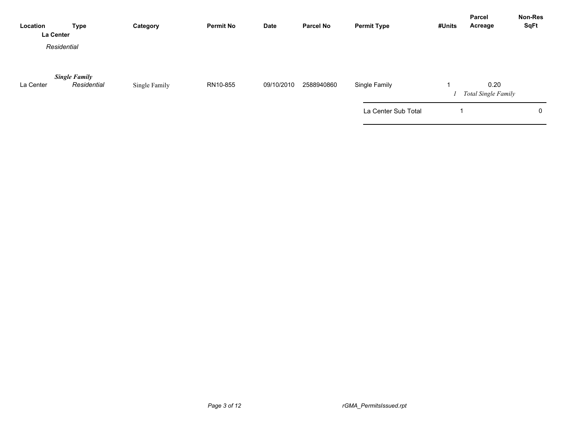| Location  | <b>Type</b><br>La Center            | Category      | <b>Permit No</b> | <b>Date</b> | <b>Parcel No</b> | <b>Permit Type</b>  | #Units | <b>Parcel</b><br>Acreage           | Non-Res<br><b>SqFt</b> |
|-----------|-------------------------------------|---------------|------------------|-------------|------------------|---------------------|--------|------------------------------------|------------------------|
|           | Residential                         |               |                  |             |                  |                     |        |                                    |                        |
| La Center | <b>Single Family</b><br>Residential | Single Family | RN10-855         | 09/10/2010  | 2588940860       | Single Family       |        | 0.20<br><b>Total Single Family</b> |                        |
|           |                                     |               |                  |             |                  | La Center Sub Total |        |                                    | 0                      |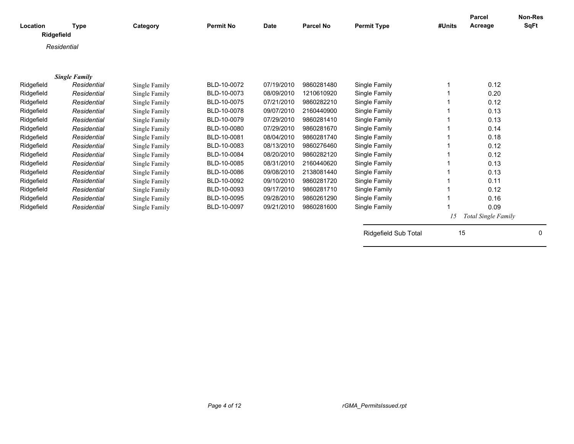|             |                                                                                                                                                     |                                                                                                                                 |                                                                                             |                                                                                                 |                                                                          |                                                                                                                                                                                    | Parcel       | <b>Non-Res</b><br><b>SqFt</b>                                                                       |
|-------------|-----------------------------------------------------------------------------------------------------------------------------------------------------|---------------------------------------------------------------------------------------------------------------------------------|---------------------------------------------------------------------------------------------|-------------------------------------------------------------------------------------------------|--------------------------------------------------------------------------|------------------------------------------------------------------------------------------------------------------------------------------------------------------------------------|--------------|-----------------------------------------------------------------------------------------------------|
|             |                                                                                                                                                     |                                                                                                                                 |                                                                                             |                                                                                                 |                                                                          |                                                                                                                                                                                    |              |                                                                                                     |
|             |                                                                                                                                                     |                                                                                                                                 |                                                                                             |                                                                                                 |                                                                          |                                                                                                                                                                                    |              |                                                                                                     |
|             |                                                                                                                                                     |                                                                                                                                 |                                                                                             |                                                                                                 |                                                                          |                                                                                                                                                                                    |              |                                                                                                     |
|             |                                                                                                                                                     |                                                                                                                                 |                                                                                             |                                                                                                 |                                                                          |                                                                                                                                                                                    |              |                                                                                                     |
|             |                                                                                                                                                     |                                                                                                                                 |                                                                                             |                                                                                                 |                                                                          |                                                                                                                                                                                    |              |                                                                                                     |
|             |                                                                                                                                                     |                                                                                                                                 |                                                                                             |                                                                                                 |                                                                          |                                                                                                                                                                                    |              |                                                                                                     |
|             |                                                                                                                                                     |                                                                                                                                 |                                                                                             |                                                                                                 |                                                                          | 1                                                                                                                                                                                  |              |                                                                                                     |
|             | Single Family                                                                                                                                       |                                                                                                                                 |                                                                                             |                                                                                                 |                                                                          |                                                                                                                                                                                    |              |                                                                                                     |
| Residential | Single Family                                                                                                                                       | BLD-10-0075                                                                                                                     | 07/21/2010                                                                                  | 9860282210                                                                                      | Single Family                                                            |                                                                                                                                                                                    | 0.12         |                                                                                                     |
| Residential | Single Family                                                                                                                                       | BLD-10-0078                                                                                                                     | 09/07/2010                                                                                  | 2160440900                                                                                      | Single Family                                                            |                                                                                                                                                                                    | 0.13         |                                                                                                     |
| Residential | Single Family                                                                                                                                       | BLD-10-0079                                                                                                                     | 07/29/2010                                                                                  | 9860281410                                                                                      | Single Family                                                            |                                                                                                                                                                                    | 0.13         |                                                                                                     |
| Residential | Single Family                                                                                                                                       | BLD-10-0080                                                                                                                     | 07/29/2010                                                                                  | 9860281670                                                                                      | Single Family                                                            |                                                                                                                                                                                    | 0.14         |                                                                                                     |
| Residential | Single Family                                                                                                                                       | BLD-10-0081                                                                                                                     | 08/04/2010                                                                                  | 9860281740                                                                                      | Single Family                                                            |                                                                                                                                                                                    | 0.18         |                                                                                                     |
| Residential | Single Family                                                                                                                                       | BLD-10-0083                                                                                                                     | 08/13/2010                                                                                  | 9860276460                                                                                      | Single Family                                                            |                                                                                                                                                                                    | 0.12         |                                                                                                     |
| Residential | Single Family                                                                                                                                       | BLD-10-0084                                                                                                                     | 08/20/2010                                                                                  | 9860282120                                                                                      | Single Family                                                            |                                                                                                                                                                                    | 0.12         |                                                                                                     |
| Residential |                                                                                                                                                     | BLD-10-0085                                                                                                                     | 08/31/2010                                                                                  | 2160440620                                                                                      |                                                                          |                                                                                                                                                                                    |              |                                                                                                     |
| Residential |                                                                                                                                                     | BLD-10-0086                                                                                                                     | 09/08/2010                                                                                  | 2138081440                                                                                      |                                                                          |                                                                                                                                                                                    | 0.13         |                                                                                                     |
|             |                                                                                                                                                     | BLD-10-0092                                                                                                                     |                                                                                             | 9860281720                                                                                      |                                                                          |                                                                                                                                                                                    |              |                                                                                                     |
|             |                                                                                                                                                     |                                                                                                                                 |                                                                                             | 9860281710                                                                                      |                                                                          |                                                                                                                                                                                    |              |                                                                                                     |
|             |                                                                                                                                                     |                                                                                                                                 |                                                                                             |                                                                                                 |                                                                          |                                                                                                                                                                                    |              |                                                                                                     |
|             |                                                                                                                                                     |                                                                                                                                 |                                                                                             |                                                                                                 |                                                                          |                                                                                                                                                                                    |              |                                                                                                     |
|             |                                                                                                                                                     |                                                                                                                                 |                                                                                             |                                                                                                 |                                                                          |                                                                                                                                                                                    |              |                                                                                                     |
|             |                                                                                                                                                     |                                                                                                                                 |                                                                                             |                                                                                                 |                                                                          |                                                                                                                                                                                    |              |                                                                                                     |
|             |                                                                                                                                                     |                                                                                                                                 |                                                                                             |                                                                                                 |                                                                          |                                                                                                                                                                                    |              | 0                                                                                                   |
|             |                                                                                                                                                     |                                                                                                                                 |                                                                                             |                                                                                                 |                                                                          |                                                                                                                                                                                    |              |                                                                                                     |
|             |                                                                                                                                                     |                                                                                                                                 |                                                                                             |                                                                                                 |                                                                          |                                                                                                                                                                                    |              |                                                                                                     |
|             | Type<br>Ridgefield<br>Residential<br><b>Single Family</b><br>Residential<br>Residential<br>Residential<br>Residential<br>Residential<br>Residential | Category<br>Single Family<br>Single Family<br>Single Family<br>Single Family<br>Single Family<br>Single Family<br>Single Family | <b>Permit No</b><br>BLD-10-0072<br>BLD-10-0073<br>BLD-10-0093<br>BLD-10-0095<br>BLD-10-0097 | <b>Date</b><br>07/19/2010<br>08/09/2010<br>09/10/2010<br>09/17/2010<br>09/28/2010<br>09/21/2010 | <b>Parcel No</b><br>9860281480<br>1210610920<br>9860261290<br>9860281600 | <b>Permit Type</b><br>Single Family<br>Single Family<br>Single Family<br>Single Family<br>Single Family<br>Single Family<br>Single Family<br>Single Family<br>Ridgefield Sub Total | #Units<br>15 | Acreage<br>0.12<br>0.20<br>0.13<br>0.11<br>0.12<br>0.16<br>0.09<br><b>Total Single Family</b><br>15 |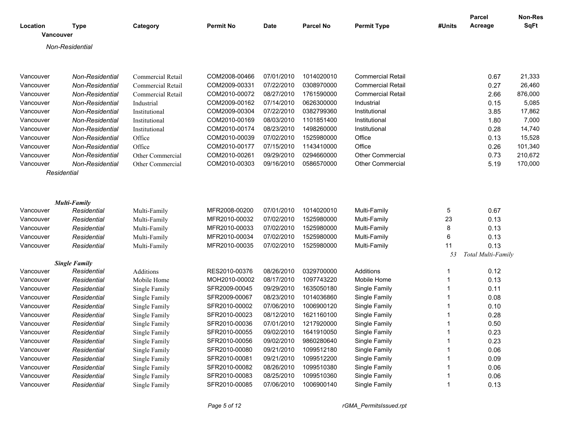| Location<br>Vancouver | <b>Type</b>                         | Category          | <b>Permit No</b> | <b>Date</b> | <b>Parcel No</b> | <b>Permit Type</b>       | #Units | <b>Parcel</b><br>Acreage | <b>Non-Res</b><br><b>SqFt</b> |
|-----------------------|-------------------------------------|-------------------|------------------|-------------|------------------|--------------------------|--------|--------------------------|-------------------------------|
|                       | Non-Residential                     |                   |                  |             |                  |                          |        |                          |                               |
|                       |                                     |                   |                  |             |                  |                          |        |                          |                               |
| Vancouver             | Non-Residential                     | Commercial Retail | COM2008-00466    | 07/01/2010  | 1014020010       | <b>Commercial Retail</b> |        | 0.67                     | 21,333                        |
| Vancouver             | Non-Residential                     | Commercial Retail | COM2009-00331    | 07/22/2010  | 0308970000       | <b>Commercial Retail</b> |        | 0.27                     | 26,460                        |
| Vancouver             | Non-Residential                     | Commercial Retail | COM2010-00072    | 08/27/2010  | 1761590000       | <b>Commercial Retail</b> |        | 2.66                     | 876,000                       |
| Vancouver             | Non-Residential                     | Industrial        | COM2009-00162    | 07/14/2010  | 0626300000       | Industrial               |        | 0.15                     | 5,085                         |
| Vancouver             | Non-Residential                     | Institutional     | COM2009-00304    | 07/22/2010  | 0382799360       | Institutional            |        | 3.85                     | 17,862                        |
| Vancouver             | Non-Residential                     | Institutional     | COM2010-00169    | 08/03/2010  | 1101851400       | Institutional            |        | 1.80                     | 7,000                         |
| Vancouver             | Non-Residential                     | Institutional     | COM2010-00174    | 08/23/2010  | 1498260000       | Institutional            |        | 0.28                     | 14,740                        |
| Vancouver             | Non-Residential                     | Office            | COM2010-00039    | 07/02/2010  | 1525980000       | Office                   |        | 0.13                     | 15,528                        |
| Vancouver             | Non-Residential                     | Office            | COM2010-00177    | 07/15/2010  | 1143410000       | Office                   |        | 0.26                     | 101,340                       |
| Vancouver             | Non-Residential                     | Other Commercial  | COM2010-00261    | 09/29/2010  | 0294660000       | <b>Other Commercial</b>  |        | 0.73                     | 210,672                       |
| Vancouver             | Non-Residential                     | Other Commercial  | COM2010-00303    | 09/16/2010  | 0586570000       | <b>Other Commercial</b>  |        | 5.19                     | 170,000                       |
| Residential           |                                     |                   |                  |             |                  |                          |        |                          |                               |
|                       |                                     |                   |                  |             |                  |                          |        |                          |                               |
|                       | <b>Multi-Family</b>                 |                   |                  |             |                  |                          |        |                          |                               |
| Vancouver             | Residential                         | Multi-Family      | MFR2008-00200    | 07/01/2010  | 1014020010       | Multi-Family             | 5      | 0.67                     |                               |
| Vancouver             | Residential                         | Multi-Family      | MFR2010-00032    | 07/02/2010  | 1525980000       | Multi-Family             | 23     | 0.13                     |                               |
| Vancouver             | Residential                         | Multi-Family      | MFR2010-00033    | 07/02/2010  | 1525980000       | Multi-Family             | 8      | 0.13                     |                               |
| Vancouver             | Residential                         | Multi-Family      | MFR2010-00034    | 07/02/2010  | 1525980000       | Multi-Family             | 6      | 0.13                     |                               |
| Vancouver             | Residential                         | Multi-Family      | MFR2010-00035    | 07/02/2010  | 1525980000       | Multi-Family             | 11     | 0.13                     |                               |
|                       |                                     |                   |                  |             |                  |                          | 53     | Total Multi-Family       |                               |
| Vancouver             | <b>Single Family</b><br>Residential | Additions         | RES2010-00376    | 08/26/2010  | 0329700000       | Additions                | 1      | 0.12                     |                               |
| Vancouver             | Residential                         | Mobile Home       | MOH2010-00002    | 08/17/2010  | 1097743220       | Mobile Home              | 1      | 0.13                     |                               |
| Vancouver             | Residential                         | Single Family     | SFR2009-00045    | 09/29/2010  | 1635050180       | Single Family            |        | 0.11                     |                               |
| Vancouver             | Residential                         | Single Family     | SFR2009-00067    | 08/23/2010  | 1014036860       | Single Family            |        | 0.08                     |                               |
| Vancouver             | Residential                         | Single Family     | SFR2010-00002    | 07/06/2010  | 1006900120       | Single Family            |        | 0.10                     |                               |
| Vancouver             | Residential                         | Single Family     | SFR2010-00023    | 08/12/2010  | 1621160100       | Single Family            |        | 0.28                     |                               |
| Vancouver             | Residential                         | Single Family     | SFR2010-00036    | 07/01/2010  | 1217920000       | Single Family            |        | 0.50                     |                               |
| Vancouver             | Residential                         | Single Family     | SFR2010-00055    | 09/02/2010  | 1641910050       | Single Family            | 1      | 0.23                     |                               |
| Vancouver             | Residential                         | Single Family     | SFR2010-00056    | 09/02/2010  | 9860280640       | Single Family            | 1      | 0.23                     |                               |
| Vancouver             | Residential                         | Single Family     | SFR2010-00080    | 09/21/2010  | 1099512180       | Single Family            |        | 0.06                     |                               |
| Vancouver             | Residential                         | Single Family     | SFR2010-00081    | 09/21/2010  | 1099512200       | Single Family            |        | 0.09                     |                               |
| Vancouver             | Residential                         | Single Family     | SFR2010-00082    | 08/26/2010  | 1099510380       | Single Family            |        | 0.06                     |                               |
| Vancouver             | Residential                         | Single Family     | SFR2010-00083    | 08/25/2010  | 1099510360       | Single Family            |        | 0.06                     |                               |
| Vancouver             | Residential                         | Single Family     | SFR2010-00085    | 07/06/2010  | 1006900140       | Single Family            | 1      | 0.13                     |                               |
|                       |                                     |                   |                  |             |                  |                          |        |                          |                               |

*Page 5 of 12 rGMA\_PermitsIssued.rpt*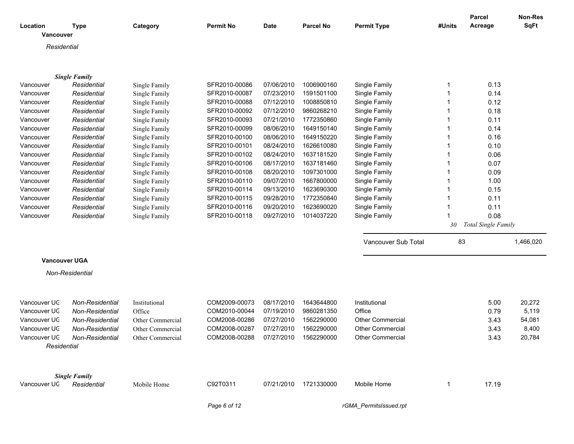| Location<br>Vancouver | <b>Type</b>          | Category         | <b>Permit No</b> | <b>Date</b> | <b>Parcel No</b> | <b>Permit Type</b>      | #Units | <b>Parcel</b><br>Acreage | Non-Res<br><b>SqFt</b> |
|-----------------------|----------------------|------------------|------------------|-------------|------------------|-------------------------|--------|--------------------------|------------------------|
| Residential           |                      |                  |                  |             |                  |                         |        |                          |                        |
|                       |                      |                  |                  |             |                  |                         |        |                          |                        |
|                       |                      |                  |                  |             |                  |                         |        |                          |                        |
|                       | <b>Single Family</b> |                  |                  |             |                  |                         |        |                          |                        |
| Vancouver             | Residential          | Single Family    | SFR2010-00086    | 07/06/2010  | 1006900160       | Single Family           | 1      | 0.13                     |                        |
| Vancouver             | Residential          | Single Family    | SFR2010-00087    | 07/23/2010  | 1591501100       | Single Family           | 1      | 0.14                     |                        |
| Vancouver             | Residential          | Single Family    | SFR2010-00088    | 07/12/2010  | 1008850810       | Single Family           |        | 0.12                     |                        |
| Vancouver             | Residential          | Single Family    | SFR2010-00092    | 07/12/2010  | 9860268210       | Single Family           |        | 0.18                     |                        |
| Vancouver             | Residential          | Single Family    | SFR2010-00093    | 07/21/2010  | 1772350860       | Single Family           |        | 0.11                     |                        |
| Vancouver             | Residential          | Single Family    | SFR2010-00099    | 08/06/2010  | 1649150140       | Single Family           |        | 0.14                     |                        |
| Vancouver             | Residential          | Single Family    | SFR2010-00100    | 08/06/2010  | 1649150220       | Single Family           |        | 0.16                     |                        |
| Vancouver             | Residential          | Single Family    | SFR2010-00101    | 08/24/2010  | 1626610080       | Single Family           |        | 0.10                     |                        |
| Vancouver             | Residential          | Single Family    | SFR2010-00102    | 08/24/2010  | 1637181520       | Single Family           |        | 0.06                     |                        |
| Vancouver             | Residential          | Single Family    | SFR2010-00106    | 08/17/2010  | 1637181460       | Single Family           |        | 0.07                     |                        |
| Vancouver             | Residential          | Single Family    | SFR2010-00108    | 08/20/2010  | 1097301000       | Single Family           |        | 0.09                     |                        |
| Vancouver             | Residential          | Single Family    | SFR2010-00110    | 09/07/2010  | 1667800000       | Single Family           |        | 1.00                     |                        |
| Vancouver             | Residential          | Single Family    | SFR2010-00114    | 09/13/2010  | 1623690300       | Single Family           |        | 0.15                     |                        |
| Vancouver             | Residential          | Single Family    | SFR2010-00115    | 09/28/2010  | 1772350840       | Single Family           |        | 0.11                     |                        |
| Vancouver             | Residential          | Single Family    | SFR2010-00116    | 09/20/2010  | 1623690020       | Single Family           | 1      | 0.11                     |                        |
| Vancouver             | Residential          | Single Family    | SFR2010-00118    | 09/27/2010  | 1014037220       | Single Family           |        | 0.08                     |                        |
|                       |                      |                  |                  |             |                  |                         | 30     | Total Single Family      |                        |
|                       |                      |                  |                  |             |                  |                         | 83     |                          |                        |
|                       |                      |                  |                  |             |                  | Vancouver Sub Total     |        |                          | 1,466,020              |
| <b>Vancouver UGA</b>  |                      |                  |                  |             |                  |                         |        |                          |                        |
|                       | Non-Residential      |                  |                  |             |                  |                         |        |                          |                        |
|                       |                      |                  |                  |             |                  |                         |        |                          |                        |
|                       |                      |                  |                  |             |                  |                         |        |                          |                        |
| Vancouver UC          | Non-Residential      | Institutional    | COM2009-00073    | 08/17/2010  | 1643644800       | Institutional           |        | 5.00                     | 20,272                 |
| Vancouver UC          | Non-Residential      | Office           | COM2010-00044    | 07/19/2010  | 9860281350       | Office                  |        | 0.79                     | 5,119                  |
| Vancouver UC          | Non-Residential      | Other Commercial | COM2008-00286    | 07/27/2010  | 1562290000       | Other Commercial        |        | 3.43                     | 54,081                 |
| Vancouver UC          | Non-Residential      | Other Commercial | COM2008-00287    | 07/27/2010  | 1562290000       | <b>Other Commercial</b> |        | 3.43                     | 8,400                  |
| Vancouver UC          | Non-Residential      | Other Commercial | COM2008-00288    | 07/27/2010  | 1562290000       | Other Commercial        |        | 3.43                     | 20,784                 |
| Residential           |                      |                  |                  |             |                  |                         |        |                          |                        |
|                       |                      |                  |                  |             |                  |                         |        |                          |                        |
|                       |                      |                  |                  |             |                  |                         |        |                          |                        |
|                       | <b>Single Family</b> |                  |                  |             |                  |                         |        |                          |                        |
| Vancouver UC          | Residential          | Mobile Home      | C92T0311         | 07/21/2010  | 1721330000       | Mobile Home             | 1      | 17.19                    |                        |
|                       |                      |                  |                  |             |                  |                         |        |                          |                        |
|                       |                      |                  | Page 6 of 12     |             |                  | rGMA_PermitsIssued.rpt  |        |                          |                        |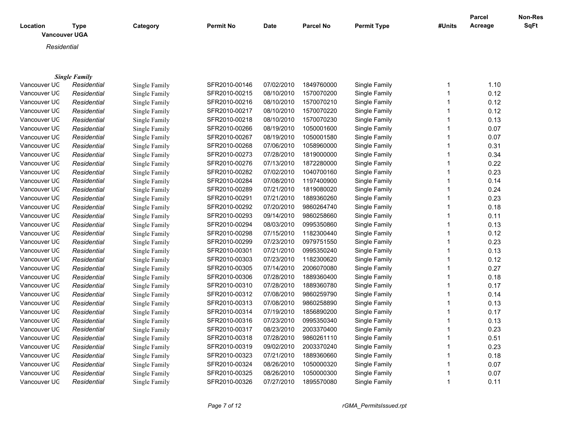| Location             | <b>Type</b>          | Category      | Permit No     | <b>Date</b> | <b>Parcel No</b> | <b>Permit Type</b> | #Units       | <b>Parcel</b><br>Acreage | Non-Res<br><b>SqFt</b> |
|----------------------|----------------------|---------------|---------------|-------------|------------------|--------------------|--------------|--------------------------|------------------------|
| <b>Vancouver UGA</b> |                      |               |               |             |                  |                    |              |                          |                        |
|                      |                      |               |               |             |                  |                    |              |                          |                        |
| Residential          |                      |               |               |             |                  |                    |              |                          |                        |
|                      |                      |               |               |             |                  |                    |              |                          |                        |
|                      |                      |               |               |             |                  |                    |              |                          |                        |
|                      | <b>Single Family</b> |               |               |             |                  |                    |              |                          |                        |
| Vancouver UC         | Residential          | Single Family | SFR2010-00146 | 07/02/2010  | 1849760000       | Single Family      | 1            | 1.10                     |                        |
| Vancouver UC         | Residential          | Single Family | SFR2010-00215 | 08/10/2010  | 1570070200       | Single Family      | 1            | 0.12                     |                        |
| Vancouver UC         | Residential          | Single Family | SFR2010-00216 | 08/10/2010  | 1570070210       | Single Family      | 1            | 0.12                     |                        |
| Vancouver UC         | Residential          | Single Family | SFR2010-00217 | 08/10/2010  | 1570070220       | Single Family      | 1            | 0.12                     |                        |
| Vancouver UC         | Residential          | Single Family | SFR2010-00218 | 08/10/2010  | 1570070230       | Single Family      | 1            | 0.13                     |                        |
| Vancouver UC         | Residential          | Single Family | SFR2010-00266 | 08/19/2010  | 1050001600       | Single Family      | 1            | 0.07                     |                        |
| Vancouver UC         | Residential          | Single Family | SFR2010-00267 | 08/19/2010  | 1050001580       | Single Family      | 1            | 0.07                     |                        |
| Vancouver UC         | Residential          | Single Family | SFR2010-00268 | 07/06/2010  | 1058960000       | Single Family      | 1            | 0.31                     |                        |
| Vancouver UC         | Residential          | Single Family | SFR2010-00273 | 07/28/2010  | 1819000000       | Single Family      | 1            | 0.34                     |                        |
| Vancouver UC         | Residential          | Single Family | SFR2010-00276 | 07/13/2010  | 1872280000       | Single Family      | 1            | 0.22                     |                        |
| Vancouver UC         | Residential          | Single Family | SFR2010-00282 | 07/02/2010  | 1040700160       | Single Family      | 1            | 0.23                     |                        |
| Vancouver UC         | Residential          | Single Family | SFR2010-00284 | 07/08/2010  | 1197400900       | Single Family      | 1            | 0.14                     |                        |
| Vancouver UC         | Residential          | Single Family | SFR2010-00289 | 07/21/2010  | 1819080020       | Single Family      | 1            | 0.24                     |                        |
| Vancouver UC         | Residential          | Single Family | SFR2010-00291 | 07/21/2010  | 1889360260       | Single Family      | 1            | 0.23                     |                        |
| Vancouver UC         | Residential          | Single Family | SFR2010-00292 | 07/20/2010  | 9860264740       | Single Family      | 1            | 0.18                     |                        |
| Vancouver UC         | Residential          | Single Family | SFR2010-00293 | 09/14/2010  | 9860258660       | Single Family      | 1            | 0.11                     |                        |
| Vancouver UC         | Residential          | Single Family | SFR2010-00294 | 08/03/2010  | 0995350860       | Single Family      | 1            | 0.13                     |                        |
| Vancouver UC         | Residential          | Single Family | SFR2010-00298 | 07/15/2010  | 1182300440       | Single Family      | 1            | 0.12                     |                        |
| Vancouver UC         | Residential          | Single Family | SFR2010-00299 | 07/23/2010  | 0979751550       | Single Family      | 1            | 0.23                     |                        |
| Vancouver UC         | Residential          | Single Family | SFR2010-00301 | 07/21/2010  | 0995350240       | Single Family      | 1            | 0.13                     |                        |
| Vancouver UC         | Residential          | Single Family | SFR2010-00303 | 07/23/2010  | 1182300620       | Single Family      | 1            | 0.12                     |                        |
| Vancouver UC         | Residential          | Single Family | SFR2010-00305 | 07/14/2010  | 2006070080       | Single Family      | 1            | 0.27                     |                        |
| Vancouver UC         | Residential          | Single Family | SFR2010-00306 | 07/28/2010  | 1889360400       | Single Family      | 1            | 0.18                     |                        |
| Vancouver UC         | Residential          | Single Family | SFR2010-00310 | 07/28/2010  | 1889360780       | Single Family      | 1            | 0.17                     |                        |
| Vancouver UC         | Residential          | Single Family | SFR2010-00312 | 07/08/2010  | 9860259790       | Single Family      | 1            | 0.14                     |                        |
| Vancouver UC         | Residential          | Single Family | SFR2010-00313 | 07/08/2010  | 9860258890       | Single Family      | 1            | 0.13                     |                        |
| Vancouver UC         | Residential          | Single Family | SFR2010-00314 | 07/19/2010  | 1856890200       | Single Family      | 1            | 0.17                     |                        |
| Vancouver UC         | Residential          | Single Family | SFR2010-00316 | 07/23/2010  | 0995350340       | Single Family      | 1            | 0.13                     |                        |
| Vancouver UC         | Residential          | Single Family | SFR2010-00317 | 08/23/2010  | 2003370400       | Single Family      | 1            | 0.23                     |                        |
| Vancouver UC         | Residential          | Single Family | SFR2010-00318 | 07/28/2010  | 9860261110       | Single Family      | 1            | 0.51                     |                        |
| Vancouver UC         | Residential          | Single Family | SFR2010-00319 | 09/02/2010  | 2003370240       | Single Family      | 1            | 0.23                     |                        |
| Vancouver UC         | Residential          | Single Family | SFR2010-00323 | 07/21/2010  | 1889360660       | Single Family      | 1            | 0.18                     |                        |
| Vancouver UC         | Residential          | Single Family | SFR2010-00324 | 08/26/2010  | 1050000320       | Single Family      | 1            | 0.07                     |                        |
| Vancouver UC         | Residential          | Single Family | SFR2010-00325 | 08/26/2010  | 1050000300       | Single Family      | $\mathbf{1}$ | 0.07                     |                        |
|                      |                      |               |               |             |                  |                    |              |                          |                        |

Vancouver UC *Residential* Single Family SFR2010-00326 07/27/2010 1895570080 Single Family 1 0.11

*Page 7 of 12 rGMA\_PermitsIssued.rpt*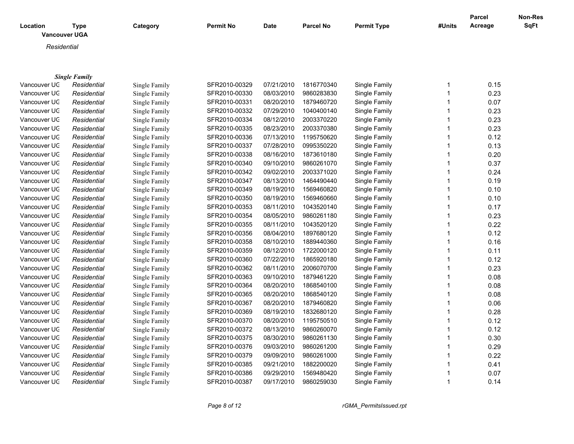| Location     | Type<br><b>Vancouver UGA</b> | Category      | <b>Permit No</b> | Date       | <b>Parcel No</b> | <b>Permit Type</b> | #Units | <b>Parcel</b><br>Acreage | Non-Res<br>SqFt |
|--------------|------------------------------|---------------|------------------|------------|------------------|--------------------|--------|--------------------------|-----------------|
| Residential  |                              |               |                  |            |                  |                    |        |                          |                 |
|              |                              |               |                  |            |                  |                    |        |                          |                 |
|              | <b>Single Family</b>         |               |                  |            |                  |                    |        |                          |                 |
| Vancouver UC | Residential                  | Single Family | SFR2010-00329    | 07/21/2010 | 1816770340       | Single Family      |        | 0.15                     |                 |
| Vancouver UC | Residential                  | Single Family | SFR2010-00330    | 08/03/2010 | 9860283830       | Single Family      |        | 0.23                     |                 |
| Vancouver UC | Residential                  | Single Family | SFR2010-00331    | 08/20/2010 | 1879460720       | Single Family      |        | 0.07                     |                 |
| Vancouver UC | Residential                  | Single Family | SFR2010-00332    | 07/29/2010 | 1040400140       | Single Family      |        | 0.23                     |                 |
| Vancouver UC | Residential                  | Single Family | SFR2010-00334    | 08/12/2010 | 2003370220       | Single Family      |        | 0.23                     |                 |
| Vancouver UC | Residential                  | Single Family | SFR2010-00335    | 08/23/2010 | 2003370380       | Single Family      |        | 0.23                     |                 |
| Vancouver UC | Residential                  | Single Family | SFR2010-00336    | 07/13/2010 | 1195750620       | Single Family      |        | 0.12                     |                 |
| Vancouver UC | Residential                  | Single Family | SFR2010-00337    | 07/28/2010 | 0995350220       | Single Family      |        | 0.13                     |                 |
| Vancouver UC | Residential                  | Single Family | SFR2010-00338    | 08/16/2010 | 1873610180       | Single Family      |        | 0.20                     |                 |
| Vancouver UC | Residential                  | Single Family | SFR2010-00340    | 09/10/2010 | 9860261070       | Single Family      |        | 0.37                     |                 |
| Vancouver UC | Residential                  | Single Family | SFR2010-00342    | 09/02/2010 | 2003371020       | Single Family      |        | 0.24                     |                 |
| Vancouver UC | Residential                  | Single Family | SFR2010-00347    | 08/13/2010 | 1464490440       | Single Family      |        | 0.19                     |                 |

Vancouver UGA *Residential* Single Family SFR2010-00349 08/19/2010 1569460820 Single Family 1 0.10 Vancouver UGA *Residential* Single Family SFR2010-00350 08/19/2010 1569460660 Single Family 1 0.10 Vancouver UGA *Residential* Single Family SFR2010-00353 08/11/2010 1043520140 Single Family 1 0.17 Vancouver UGA *Residential* Single Family SFR2010-00354 08/05/2010 9860261180 Single Family 1 0.23 Vancouver UGA *Residential* Single Family SFR2010-00355 08/11/2010 1043520120 Single Family 1 0.22 Vancouver UGA *Residential* Single Family SFR2010-00356 08/04/2010 1897680120 Single Family 1 0.12 Vancouver UGA *Residential* Single Family SFR2010-00358 08/10/2010 1889440360 Single Family 1 0.16 Vancouver UGA *Residential* Single Family SFR2010-00359 08/12/2010 1722000120 Single Family 1 0.11 Vancouver UGA *Residential* Single Family SFR2010-00360 07/22/2010 1865920180 Single Family 1 0.12 Vancouver UGA *Residential* Single Family SFR2010-00362 08/11/2010 2006070700 Single Family 1 0.23 Vancouver UGA *Residential* Single Family SFR2010-00363 09/10/2010 1879461220 Single Family 1 0.08 Vancouver UGA *Residential* Single Family SFR2010-00364 08/20/2010 1868540100 Single Family 1 0.08 Vancouver UGA *Residential* Single Family SFR2010-00365 08/20/2010 1868540120 Single Family 1 0.08 Vancouver UGA *Residential* Single Family SFR2010-00367 08/20/2010 1879460820 Single Family 1 0.06 Vancouver UGA *Residential* Single Family SFR2010-00369 08/19/2010 1832680120 Single Family 1 0.28 Vancouver UGA *Residential* Single Family SFR2010-00370 08/20/2010 1195750510 Single Family 1 0.12 Vancouver UGA *Residential* Single Family SFR2010-00372 08/13/2010 9860260070 Single Family 1 0.12 Vancouver UGA *Residential* Single Family SFR2010-00375 08/30/2010 9860261130 Single Family 1 0.30 Vancouver UGA *Residential* Single Family SFR2010-00376 09/03/2010 9860261200 Single Family 1 0.29 Vancouver UGA *Residential* Single Family SFR2010-00379 09/09/2010 9860261000 Single Family 1 0.22 Vancouver UGA *Residential* Single Family SFR2010-00385 09/21/2010 1882200020 Single Family 1 0.41 Vancouver UGA *Residential* Single Family SFR2010-00386 09/29/2010 1569480420 Single Family 1 0.07 Vancouver UGA *Residential* Single Family SFR2010-00387 09/17/2010 9860259030 Single Family 1 0.14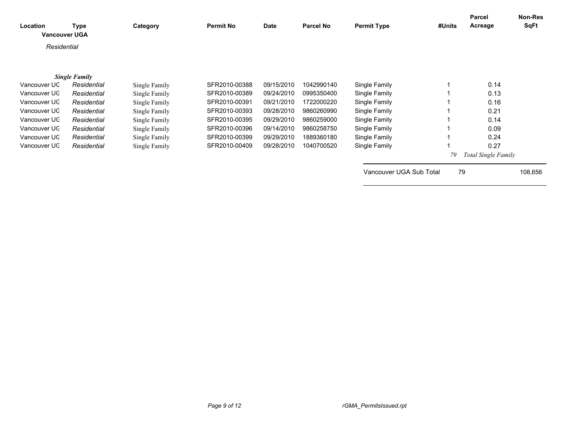| Location<br><b>Vancouver UGA</b> | <b>Type</b>          | Category      | <b>Permit No</b> | Date       | <b>Parcel No</b> | <b>Permit Type</b>      | #Units | Parcel<br>Acreage   | Non-Res<br>SqFt |
|----------------------------------|----------------------|---------------|------------------|------------|------------------|-------------------------|--------|---------------------|-----------------|
| Residential                      |                      |               |                  |            |                  |                         |        |                     |                 |
|                                  | <b>Single Family</b> |               |                  |            |                  |                         |        |                     |                 |
| Vancouver UC                     | Residential          | Single Family | SFR2010-00388    | 09/15/2010 | 1042990140       | Single Family           |        | 0.14                |                 |
| Vancouver UC                     | Residential          | Single Family | SFR2010-00389    | 09/24/2010 | 0995350400       | Single Family           |        | 0.13                |                 |
| Vancouver UC                     | Residential          | Single Family | SFR2010-00391    | 09/21/2010 | 1722000220       | Single Family           |        | 0.16                |                 |
| Vancouver UC                     | Residential          | Single Family | SFR2010-00393    | 09/28/2010 | 9860260990       | Single Family           |        | 0.21                |                 |
| Vancouver UC                     | Residential          | Single Family | SFR2010-00395    | 09/29/2010 | 9860259000       | Single Family           |        | 0.14                |                 |
| Vancouver UC                     | Residential          | Single Family | SFR2010-00396    | 09/14/2010 | 9860258750       | Single Family           |        | 0.09                |                 |
| Vancouver UC                     | Residential          | Single Family | SFR2010-00399    | 09/29/2010 | 1889360180       | Single Family           |        | 0.24                |                 |
| Vancouver UC                     | Residential          | Single Family | SFR2010-00409    | 09/28/2010 | 1040700520       | Single Family           |        | 0.27                |                 |
|                                  |                      |               |                  |            |                  |                         | 79     | Total Single Family |                 |
|                                  |                      |               |                  |            |                  | Vancouver UGA Sub Total | 79     |                     | 108,656         |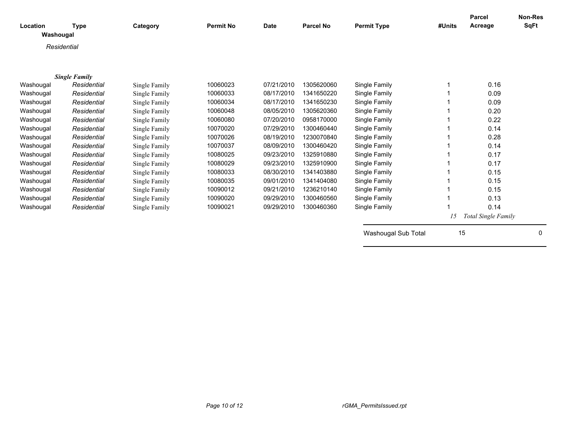| Location<br>Washougal | <b>Type</b>          | Category      | <b>Permit No</b> | <b>Date</b> | <b>Parcel No</b> | <b>Permit Type</b>  | #Units | <b>Parcel</b><br>Acreage | <b>Non-Res</b><br><b>SqFt</b> |
|-----------------------|----------------------|---------------|------------------|-------------|------------------|---------------------|--------|--------------------------|-------------------------------|
| Residential           |                      |               |                  |             |                  |                     |        |                          |                               |
|                       |                      |               |                  |             |                  |                     |        |                          |                               |
|                       |                      |               |                  |             |                  |                     |        |                          |                               |
|                       | <b>Single Family</b> |               |                  |             |                  |                     |        |                          |                               |
| Washougal             | Residential          | Single Family | 10060023         | 07/21/2010  | 1305620060       | Single Family       |        | 0.16                     |                               |
| Washougal             | Residential          | Single Family | 10060033         | 08/17/2010  | 1341650220       | Single Family       |        | 0.09                     |                               |
| Washougal             | Residential          | Single Family | 10060034         | 08/17/2010  | 1341650230       | Single Family       |        | 0.09                     |                               |
| Washougal             | Residential          | Single Family | 10060048         | 08/05/2010  | 1305620360       | Single Family       |        | 0.20                     |                               |
| Washougal             | Residential          | Single Family | 10060080         | 07/20/2010  | 0958170000       | Single Family       |        | 0.22                     |                               |
| Washougal             | Residential          | Single Family | 10070020         | 07/29/2010  | 1300460440       | Single Family       |        | 0.14                     |                               |
| Washougal             | Residential          | Single Family | 10070026         | 08/19/2010  | 1230070840       | Single Family       |        | 0.28                     |                               |
| Washougal             | Residential          | Single Family | 10070037         | 08/09/2010  | 1300460420       | Single Family       |        | 0.14                     |                               |
| Washougal             | Residential          | Single Family | 10080025         | 09/23/2010  | 1325910880       | Single Family       |        | 0.17                     |                               |
| Washougal             | Residential          | Single Family | 10080029         | 09/23/2010  | 1325910900       | Single Family       |        | 0.17                     |                               |
| Washougal             | Residential          | Single Family | 10080033         | 08/30/2010  | 1341403880       | Single Family       |        | 0.15                     |                               |
| Washougal             | Residential          | Single Family | 10080035         | 09/01/2010  | 1341404080       | Single Family       |        | 0.15                     |                               |
| Washougal             | Residential          | Single Family | 10090012         | 09/21/2010  | 1236210140       | Single Family       |        | 0.15                     |                               |
| Washougal             | Residential          | Single Family | 10090020         | 09/29/2010  | 1300460560       | Single Family       |        | 0.13                     |                               |
| Washougal             | Residential          | Single Family | 10090021         | 09/29/2010  | 1300460360       | Single Family       |        | 0.14                     |                               |
|                       |                      |               |                  |             |                  |                     | 15     | Total Single Family      |                               |
|                       |                      |               |                  |             |                  | Washougal Sub Total | 15     |                          | 0                             |
|                       |                      |               |                  |             |                  |                     |        |                          |                               |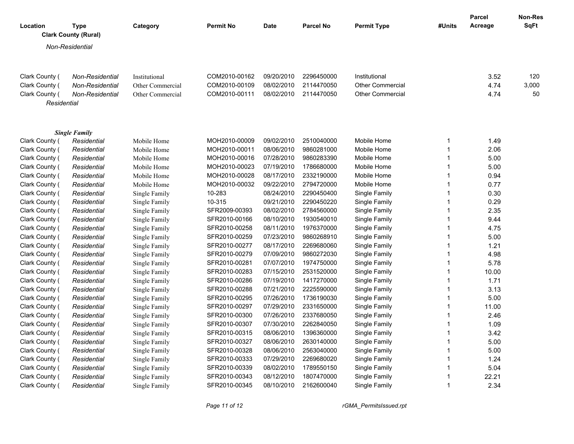| Location       | <b>Type</b><br><b>Clark County (Rural)</b> |                 | Category         | <b>Permit No</b> | <b>Date</b> | <b>Parcel No</b> | <b>Permit Type</b>      | #Units       | <b>Parcel</b><br>Acreage | <b>Non-Res</b><br><b>SqFt</b> |
|----------------|--------------------------------------------|-----------------|------------------|------------------|-------------|------------------|-------------------------|--------------|--------------------------|-------------------------------|
|                | Non-Residential                            |                 |                  |                  |             |                  |                         |              |                          |                               |
|                |                                            |                 |                  |                  |             |                  |                         |              |                          |                               |
| Clark County ( |                                            | Non-Residential | Institutional    | COM2010-00162    | 09/20/2010  | 2296450000       | Institutional           |              | 3.52                     | 120                           |
| Clark County ( |                                            | Non-Residential | Other Commercial | COM2010-00109    | 08/02/2010  | 2114470050       | <b>Other Commercial</b> |              | 4.74                     | 3,000                         |
| Clark County ( |                                            | Non-Residential | Other Commercial | COM2010-00111    | 08/02/2010  | 2114470050       | <b>Other Commercial</b> |              | 4.74                     | 50                            |
|                | Residential                                |                 |                  |                  |             |                  |                         |              |                          |                               |
|                | <b>Single Family</b>                       |                 |                  |                  |             |                  |                         |              |                          |                               |
| Clark County ( |                                            | Residential     | Mobile Home      | MOH2010-00009    | 09/02/2010  | 2510040000       | Mobile Home             | 1            | 1.49                     |                               |
| Clark County ( |                                            | Residential     | Mobile Home      | MOH2010-00011    | 08/06/2010  | 9860281000       | Mobile Home             | $\mathbf{1}$ | 2.06                     |                               |
| Clark County ( |                                            | Residential     | Mobile Home      | MOH2010-00016    | 07/28/2010  | 9860283390       | Mobile Home             | 1            | 5.00                     |                               |
| Clark County ( |                                            | Residential     | Mobile Home      | MOH2010-00023    | 07/19/2010  | 1786680000       | Mobile Home             | $\mathbf{1}$ | 5.00                     |                               |
| Clark County ( |                                            | Residential     | Mobile Home      | MOH2010-00028    | 08/17/2010  | 2332190000       | Mobile Home             | $\mathbf{1}$ | 0.94                     |                               |
| Clark County ( |                                            | Residential     | Mobile Home      | MOH2010-00032    | 09/22/2010  | 2794720000       | Mobile Home             | $\mathbf{1}$ | 0.77                     |                               |
| Clark County ( |                                            | Residential     | Single Family    | 10-283           | 08/24/2010  | 2290450400       | Single Family           | $\mathbf{1}$ | 0.30                     |                               |
| Clark County ( |                                            | Residential     | Single Family    | 10-315           | 09/21/2010  | 2290450220       | Single Family           | 1            | 0.29                     |                               |
| Clark County ( |                                            | Residential     | Single Family    | SFR2009-00393    | 08/02/2010  | 2784560000       | Single Family           | $\mathbf{1}$ | 2.35                     |                               |
| Clark County ( |                                            | Residential     | Single Family    | SFR2010-00166    | 08/10/2010  | 1930540010       | Single Family           | 1            | 9.44                     |                               |
| Clark County ( |                                            | Residential     | Single Family    | SFR2010-00258    | 08/11/2010  | 1976370000       | Single Family           | $\mathbf{1}$ | 4.75                     |                               |
| Clark County ( |                                            | Residential     | Single Family    | SFR2010-00259    | 07/23/2010  | 9860268910       | Single Family           | $\mathbf{1}$ | 5.00                     |                               |
| Clark County ( |                                            | Residential     | Single Family    | SFR2010-00277    | 08/17/2010  | 2269680060       | Single Family           | 1            | 1.21                     |                               |
| Clark County ( |                                            | Residential     | Single Family    | SFR2010-00279    | 07/09/2010  | 9860272030       | Single Family           | 1            | 4.98                     |                               |
| Clark County ( |                                            | Residential     | Single Family    | SFR2010-00281    | 07/07/2010  | 1974750000       | Single Family           | 1            | 5.78                     |                               |
| Clark County ( |                                            | Residential     | Single Family    | SFR2010-00283    | 07/15/2010  | 2531520000       | Single Family           | $\mathbf{1}$ | 10.00                    |                               |
| Clark County ( |                                            | Residential     | Single Family    | SFR2010-00286    | 07/19/2010  | 1417270000       | Single Family           | $\mathbf{1}$ | 1.71                     |                               |
| Clark County ( |                                            | Residential     | Single Family    | SFR2010-00288    | 07/21/2010  | 2225590000       | Single Family           | $\mathbf{1}$ | 3.13                     |                               |
| Clark County ( |                                            | Residential     | Single Family    | SFR2010-00295    | 07/26/2010  | 1736190030       | Single Family           | $\mathbf{1}$ | 5.00                     |                               |
| Clark County ( |                                            | Residential     | Single Family    | SFR2010-00297    | 07/29/2010  | 2331650000       | Single Family           | $\mathbf{1}$ | 11.00                    |                               |
| Clark County ( |                                            | Residential     | Single Family    | SFR2010-00300    | 07/26/2010  | 2337680050       | Single Family           | $\mathbf{1}$ | 2.46                     |                               |
| Clark County ( |                                            | Residential     | Single Family    | SFR2010-00307    | 07/30/2010  | 2262840050       | Single Family           | 1            | 1.09                     |                               |
| Clark County ( |                                            | Residential     | Single Family    | SFR2010-00315    | 08/06/2010  | 1396360000       | Single Family           | 1            | 3.42                     |                               |
| Clark County ( |                                            | Residential     | Single Family    | SFR2010-00327    | 08/06/2010  | 2630140000       | Single Family           | $\mathbf{1}$ | 5.00                     |                               |
| Clark County ( |                                            | Residential     | Single Family    | SFR2010-00328    | 08/06/2010  | 2563040000       | Single Family           | 1            | 5.00                     |                               |
| Clark County ( |                                            | Residential     | Single Family    | SFR2010-00333    | 07/29/2010  | 2269680020       | Single Family           | $\mathbf{1}$ | 1.24                     |                               |
| Clark County ( |                                            | Residential     | Single Family    | SFR2010-00339    | 08/02/2010  | 1789550150       | Single Family           | $\mathbf{1}$ | 5.04                     |                               |
| Clark County ( |                                            | Residential     | Single Family    | SFR2010-00343    | 08/12/2010  | 1807470000       | Single Family           | 1            | 22.21                    |                               |
| Clark County ( |                                            | Residential     | Single Family    | SFR2010-00345    | 08/10/2010  | 2162600040       | Single Family           | 1            | 2.34                     |                               |

*Page 11 of 12 rGMA\_PermitsIssued.rpt*